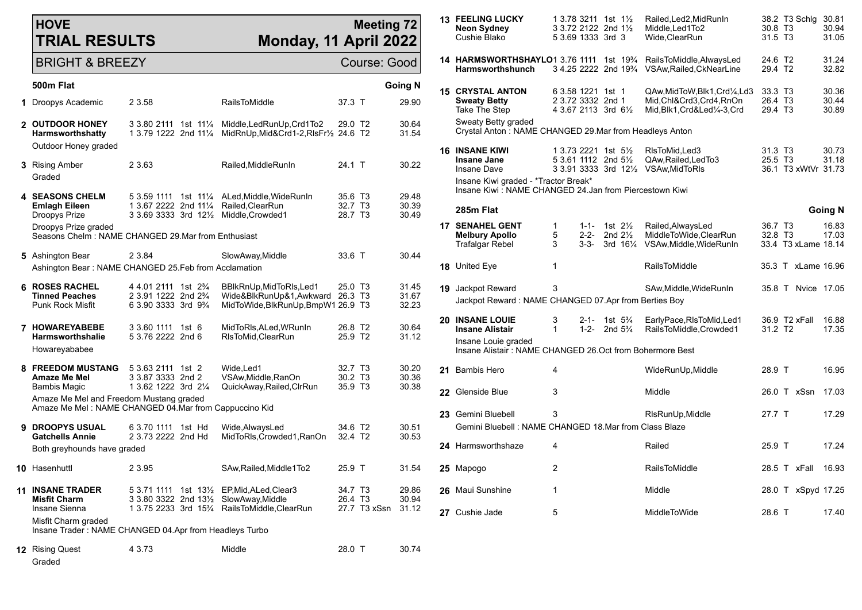## **HOVE TRIAL RESULTS**

## **Meeting 72 Monday, 11 April 2022**

| <b>BRIGHT &amp; BREEZY</b>                                                                       | Course: Good                                                                                                                                    |         |                                                                                                         |                                                       |              |                         |  |  |
|--------------------------------------------------------------------------------------------------|-------------------------------------------------------------------------------------------------------------------------------------------------|---------|---------------------------------------------------------------------------------------------------------|-------------------------------------------------------|--------------|-------------------------|--|--|
| 500m Flat                                                                                        |                                                                                                                                                 |         |                                                                                                         |                                                       |              | <b>Going N</b>          |  |  |
| 1 Droopys Academic                                                                               | 2 3.58                                                                                                                                          |         | <b>RailsToMiddle</b>                                                                                    | 37.3 T                                                |              | 29.90                   |  |  |
| 2 OUTDOOR HONEY<br><b>Harmsworthshatty</b><br>Outdoor Honey graded                               | 3 3.80 2111 1st 11¼<br>1 3.79 1222 2nd 111/4                                                                                                    |         | Middle, Led Run Up, Crd 1 To 2<br>MidRnUp, Mid&Crd1-2, RIsFr1/2 24.6 T2                                 | 29.0 T2                                               |              | 30.64<br>31.54          |  |  |
| 3 Rising Amber<br>Graded                                                                         | 2 3.63                                                                                                                                          |         | Railed, MiddleRunIn                                                                                     | 24.1 T                                                |              | 30.22                   |  |  |
| <b>4 SEASONS CHELM</b><br><b>Emlagh Eileen</b><br>Droopys Prize                                  | 5 3.59 1111<br>1 3.67 2222 2nd 111/4<br>$3.3.69.3333.3rd.12\%$                                                                                  | 1st 11½ | ALed, Middle, WideRunIn<br>Railed, ClearRun<br>Middle, Crowded1                                         | 35.6 T <sub>3</sub><br>32.7 T <sub>3</sub><br>28.7 T3 |              | 29.48<br>30.39<br>30.49 |  |  |
| Droopys Prize graded<br>Seasons Chelm: NAME CHANGED 29.Mar from Enthusiast                       |                                                                                                                                                 |         |                                                                                                         |                                                       |              |                         |  |  |
| 5 Ashington Bear                                                                                 | 2 3.84                                                                                                                                          |         | SlowAway, Middle                                                                                        | 33.6 T                                                |              | 30.44                   |  |  |
| Ashington Bear: NAME CHANGED 25 Feb from Acclamation                                             |                                                                                                                                                 |         |                                                                                                         |                                                       |              |                         |  |  |
| <b>6 ROSES RACHEL</b><br><b>Tinned Peaches</b><br><b>Punk Rock Misfit</b>                        | 4 4.01 2111 1st 2 <sup>3</sup> / <sub>4</sub><br>2 3.91 1222 2nd 2 <sup>3</sup> / <sub>4</sub><br>6 3.90 3333 3rd 9 <sup>3</sup> / <sub>4</sub> |         | BBIkRnUp, MidToRIs, Led1<br>Wide&BlkRunUp&1,Awkward 26.3 T3<br>MidToWide, BlkRunUp, BmpW1 26.9 T3       | 25.0 T3                                               |              | 31.45<br>31.67<br>32.23 |  |  |
| 7 HOWAREYABEBE<br><b>Harmsworthshalle</b><br>Howareyababee                                       | 3 3.60 1111<br>5 3.76 2222 2nd 6                                                                                                                | 1st $6$ | MidToRIs, ALed, WRunIn<br>RIsToMid, ClearRun                                                            | 26.8 T <sub>2</sub><br>25.9 T <sub>2</sub>            |              | 30.64<br>31.12          |  |  |
| <b>8 FREEDOM MUSTANG</b><br><b>Amaze Me Mel</b><br><b>Bambis Magic</b>                           | 5 3.63 2111 1st 2<br>3 3.87 3333 2nd 2<br>1 3.62 1222 3rd 21/4                                                                                  |         | Wide, Led1<br>VSAw, Middle, RanOn<br>QuickAway, Railed, ClrRun                                          | 32.7 T <sub>3</sub><br>30.2 T3<br>35.9 T3             |              | 30.20<br>30.36<br>30.38 |  |  |
| Amaze Me Mel and Freedom Mustang graded<br>Amaze Me Mel: NAME CHANGED 04.Mar from Cappuccino Kid |                                                                                                                                                 |         |                                                                                                         |                                                       |              |                         |  |  |
| 9 DROOPYS USUAL<br><b>Gatchells Annie</b>                                                        | 6 3.70 1111<br>2 3.73 2222 2nd Hd                                                                                                               | 1st Hd  | Wide, AlwaysLed<br>MidToRls, Crowded1, RanOn                                                            | 34.6 T <sub>2</sub><br>32.4 T <sub>2</sub>            |              | 30.51<br>30.53          |  |  |
| Both greyhounds have graded                                                                      |                                                                                                                                                 |         |                                                                                                         |                                                       |              |                         |  |  |
| 10 Hasenhuttl                                                                                    | 2 3.95                                                                                                                                          |         | SAw, Railed, Middle1To2                                                                                 | 25.9 T                                                |              | 31.54                   |  |  |
| <b>11 INSANE TRADER</b><br><b>Misfit Charm</b><br>Insane Sienna                                  | 5 3.71 1111 1st 13½<br>3 3.80 3322 2nd 131/ <sub>2</sub>                                                                                        |         | EP, Mid, ALed, Clear3<br>SlowAway, Middle<br>1 3.75 2233 3rd 15 <sup>3</sup> /4 RailsToMiddle, ClearRun | 34.7 T <sub>3</sub><br>26.4 T <sub>3</sub>            | 27.7 T3 xSsn | 29.86<br>30.94<br>31.12 |  |  |
| Misfit Charm graded<br>Insane Trader: NAME CHANGED 04.Apr from Headleys Turbo                    |                                                                                                                                                 |         |                                                                                                         |                                                       |              |                         |  |  |

**12** Rising Quest 4 3.73 Middle 28.0 T 30.74

| <b>13 FEELING LUCKY</b><br>Neon Sydney<br>Cushie Blako                                         |                |                                  | 1 3.78 3211 1st 1½<br>3 3.72 2122 2nd 11/2<br>5 3.69 1333 3rd 3                                           | Railed, Led 2, Mid Run In<br>Middle, Led1To2<br>Wide, ClearRun                     | 30.8 T <sub>3</sub><br>31.5 T <sub>3</sub> | 38.2 T3 Schlg       | 30.81<br>30.94<br>31.05 |
|------------------------------------------------------------------------------------------------|----------------|----------------------------------|-----------------------------------------------------------------------------------------------------------|------------------------------------------------------------------------------------|--------------------------------------------|---------------------|-------------------------|
| 14 HARMSWORTHSHAYLO1 3.76 1111 1st 1934<br>Harmsworthshunch                                    |                |                                  | 3 4.25 2222 2nd 19 <sup>3</sup> / <sub>4</sub>                                                            | RailsToMiddle, AlwaysLed<br>VSAw, Railed, CkNearLine                               | 24.6 T2<br>29.4 T <sub>2</sub>             |                     | 31.24<br>32.82          |
| <b>15 CRYSTAL ANTON</b><br><b>Sweaty Betty</b><br><b>Take The Step</b>                         |                |                                  | 6 3.58 1221 1st 1<br>2 3.72 3332 2nd 1<br>4 3.67 2113 3rd 61/2                                            | QAw,MidToW,Blk1,Crd¼,Ld3<br>Mid,Chl&Crd3,Crd4,RnOn<br>Mid, Blk1, Crd&Led1/4-3, Crd | 33.3 T <sub>3</sub><br>26.4 T3<br>29.4 T3  |                     | 30.36<br>30.44<br>30.89 |
| Sweaty Betty graded<br>Crystal Anton: NAME CHANGED 29.Mar from Headleys Anton                  |                |                                  |                                                                                                           |                                                                                    |                                            |                     |                         |
| <b>16 INSANE KIWI</b><br><b>Insane Jane</b><br><b>Insane Dave</b>                              |                |                                  | 1 3.73 2221 1st 51/ <sub>2</sub><br>5 3.61 1112 2nd 51/ <sub>2</sub><br>3 3.91 3333 3rd 121/ <sub>2</sub> | RIsToMid, Led 3<br>QAw, Railed, Led To 3<br>VSAw, Mid To RIs                       | 31.3 T <sub>3</sub><br>25.5 T <sub>3</sub> | 36.1 T3 xWtVr 31.73 | 30.73<br>31.18          |
| Insane Kiwi graded - *Tractor Break*<br>Insane Kiwi: NAME CHANGED 24.Jan from Piercestown Kiwi |                |                                  |                                                                                                           |                                                                                    |                                            |                     |                         |
| 285m Flat                                                                                      |                |                                  |                                                                                                           |                                                                                    |                                            |                     | <b>Going N</b>          |
| <b>17 SENAHEL GENT</b><br><b>Melbury Apollo</b><br>Trafalgar Rebel                             | 1<br>5<br>3    | $1 - 1 -$<br>$2 - 2 -$<br>$3-3-$ | 1st $2\frac{1}{2}$<br>2nd $2\frac{1}{2}$<br>3rd 161⁄4                                                     | Railed, Always Led<br>MiddleToWide,ClearRun<br>VSAw, Middle, WideRunIn             | 36.7 T <sub>3</sub><br>32.8 T <sub>3</sub> | 33.4 T3 xLame 18.14 | 16.83<br>17.03          |
| 18 United Eye                                                                                  | $\mathbf{1}$   |                                  |                                                                                                           | <b>RailsToMiddle</b>                                                               |                                            | 35.3 T xLame 16.96  |                         |
| 19 Jackpot Reward<br>Jackpot Reward: NAME CHANGED 07.Apr from Berties Boy                      | 3              |                                  |                                                                                                           | SAw, Middle, Wide Run In                                                           |                                            | 35.8 T Nyice 17.05  |                         |
| 20 INSANE LOUIE<br><b>Insane Alistair</b>                                                      | 3<br>1         | $2 - 1 -$<br>$1 - 2 -$           | 1st $5\frac{3}{4}$<br>2nd $5\frac{3}{4}$                                                                  | EarlyPace, RIsToMid, Led1<br>RailsToMiddle,Crowded1                                | 31.2 T <sub>2</sub>                        | 36.9 T2 xFall       | 16.88<br>17.35          |
| Insane Louie graded<br>Insane Alistair: NAME CHANGED 26.Oct from Bohermore Best                |                |                                  |                                                                                                           |                                                                                    |                                            |                     |                         |
| 21 Bambis Hero                                                                                 | 4              |                                  |                                                                                                           | WideRunUp, Middle                                                                  | 28.9 T                                     |                     | 16.95                   |
| 22 Glenside Blue                                                                               | 3              |                                  |                                                                                                           | Middle                                                                             |                                            | 26.0 T xSsn         | 17.03                   |
| 23 Gemini Bluebell<br>Gemini Bluebell: NAME CHANGED 18.Mar from Class Blaze                    | 3              |                                  |                                                                                                           | RIsRunUp, Middle                                                                   | 27.7 T                                     |                     | 17.29                   |
| 24 Harmsworthshaze                                                                             | 4              |                                  |                                                                                                           | Railed                                                                             | 25.9 T                                     |                     | 17.24                   |
| 25 Mapogo                                                                                      | $\overline{2}$ |                                  |                                                                                                           | RailsToMiddle                                                                      |                                            | 28.5 T xFall        | 16.93                   |

**26** Maui Sunshine 1 1 Middle 28.0 T xSpyd 17.25

**27** Cushie Jade 5 5 MiddleToWide 28.6 T 17.40

Graded